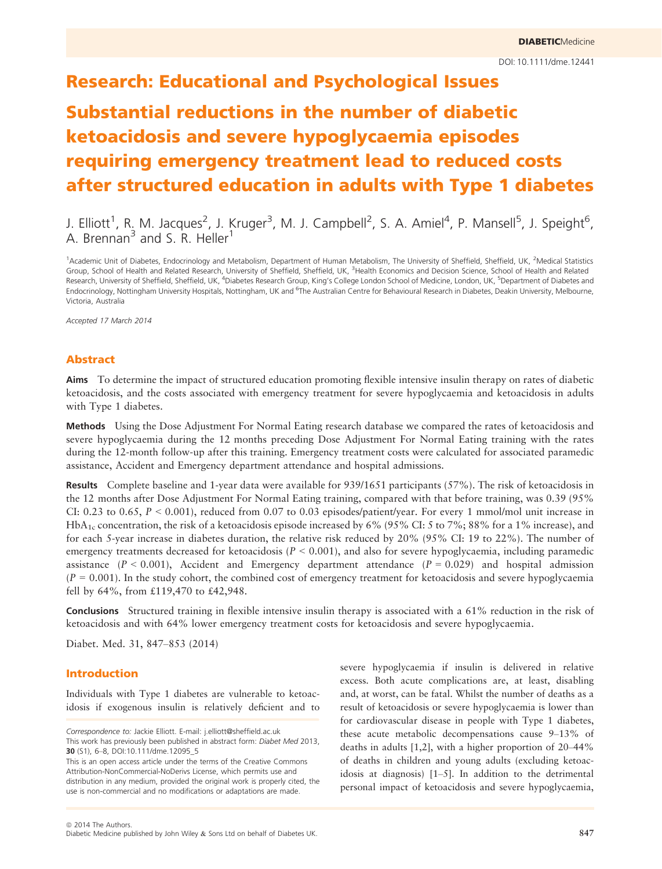# Research: Educational and Psychological Issues

# Substantial reductions in the number of diabetic ketoacidosis and severe hypoglycaemia episodes requiring emergency treatment lead to reduced costs after structured education in adults with Type 1 diabetes

J. Elliott<sup>1</sup>, R. M. Jacques<sup>2</sup>, J. Kruger<sup>3</sup>, M. J. Campbell<sup>2</sup>, S. A. Amiel<sup>4</sup>, P. Mansell<sup>5</sup>, J. Speight<sup>6</sup>, A. Brennan<sup>3</sup> and S. R. Heller<sup>1</sup>

<sup>1</sup>Academic Unit of Diabetes, Endocrinology and Metabolism, Department of Human Metabolism, The University of Sheffield, Sheffield, UK, <sup>2</sup>Medical Statistics Group, School of Health and Related Research, University of Sheffield, Sheffield, UK, <sup>3</sup>Health Economics and Decision Science, School of Health and Related Research, University of Sheffield, Sheffield, UK, <sup>4</sup>Diabetes Research Group, King's College London School of Medicine, London, UK, <sup>5</sup>Department of Diabetes and Endocrinology, Nottingham University Hospitals, Nottingham, UK and <sup>6</sup>The Australian Centre for Behavioural Research in Diabetes, Deakin University, Melbourne, Victoria, Australia

Accepted 17 March 2014

### Abstract

Aims To determine the impact of structured education promoting flexible intensive insulin therapy on rates of diabetic ketoacidosis, and the costs associated with emergency treatment for severe hypoglycaemia and ketoacidosis in adults with Type 1 diabetes.

Methods Using the Dose Adjustment For Normal Eating research database we compared the rates of ketoacidosis and severe hypoglycaemia during the 12 months preceding Dose Adjustment For Normal Eating training with the rates during the 12-month follow-up after this training. Emergency treatment costs were calculated for associated paramedic assistance, Accident and Emergency department attendance and hospital admissions.

Results Complete baseline and 1-year data were available for 939/1651 participants (57%). The risk of ketoacidosis in the 12 months after Dose Adjustment For Normal Eating training, compared with that before training, was 0.39 (95% CI: 0.23 to 0.65,  $P < 0.001$ ), reduced from 0.07 to 0.03 episodes/patient/year. For every 1 mmol/mol unit increase in HbA<sub>1c</sub> concentration, the risk of a ketoacidosis episode increased by 6% (95% CI: 5 to 7%; 88% for a 1% increase), and for each 5-year increase in diabetes duration, the relative risk reduced by 20% (95% CI: 19 to 22%). The number of emergency treatments decreased for ketoacidosis ( $P < 0.001$ ), and also for severe hypoglycaemia, including paramedic assistance  $(P < 0.001)$ , Accident and Emergency department attendance  $(P = 0.029)$  and hospital admission  $(P = 0.001)$ . In the study cohort, the combined cost of emergency treatment for ketoacidosis and severe hypoglycaemia fell by 64%, from £119,470 to £42,948.

Conclusions Structured training in flexible intensive insulin therapy is associated with a 61% reduction in the risk of ketoacidosis and with 64% lower emergency treatment costs for ketoacidosis and severe hypoglycaemia.

Diabet. Med. 31, 847–853 (2014)

# Introduction

Individuals with Type 1 diabetes are vulnerable to ketoacidosis if exogenous insulin is relatively deficient and to severe hypoglycaemia if insulin is delivered in relative excess. Both acute complications are, at least, disabling and, at worst, can be fatal. Whilst the number of deaths as a result of ketoacidosis or severe hypoglycaemia is lower than for cardiovascular disease in people with Type 1 diabetes, these acute metabolic decompensations cause 9–13% of deaths in adults [1,2], with a higher proportion of 20–44% of deaths in children and young adults (excluding ketoacidosis at diagnosis) [1–5]. In addition to the detrimental personal impact of ketoacidosis and severe hypoglycaemia,

Correspondence to: Jackie Elliott. E-mail: j.elliott@sheffield.ac.uk This work has previously been published in abstract form: Diabet Med 2013, 30 (S1), 6–8, DOI:10.111/dme.12095\_5

This is an open access article under the terms of the Creative Commons Attribution-NonCommercial-NoDerivs License, which permits use and distribution in any medium, provided the original work is properly cited, the use is non-commercial and no modifications or adaptations are made.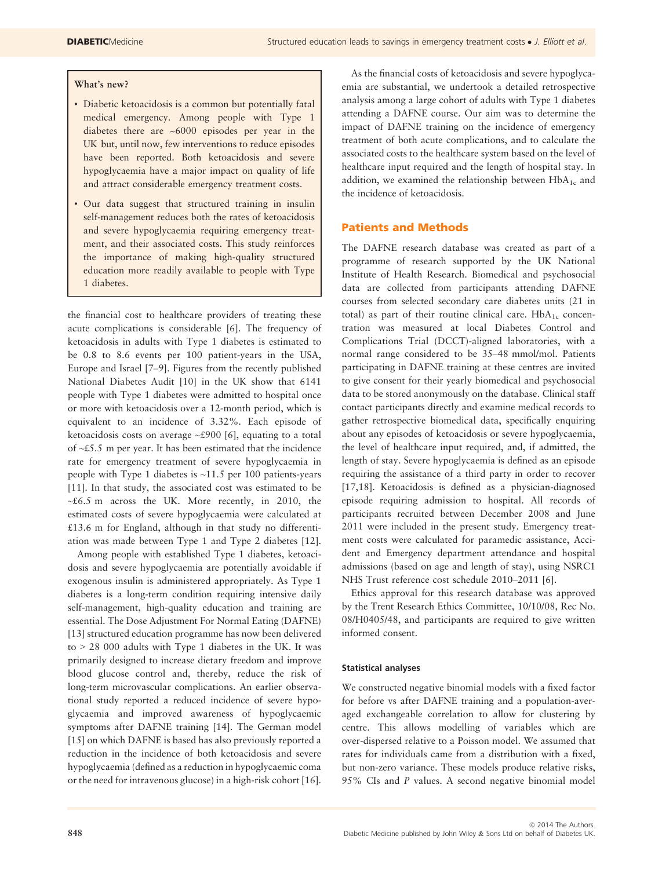# What's new?

- Diabetic ketoacidosis is a common but potentially fatal medical emergency. Among people with Type 1 diabetes there are ~6000 episodes per year in the UK but, until now, few interventions to reduce episodes have been reported. Both ketoacidosis and severe hypoglycaemia have a major impact on quality of life and attract considerable emergency treatment costs.
- Our data suggest that structured training in insulin self-management reduces both the rates of ketoacidosis and severe hypoglycaemia requiring emergency treatment, and their associated costs. This study reinforces the importance of making high-quality structured education more readily available to people with Type 1 diabetes.

the financial cost to healthcare providers of treating these acute complications is considerable [6]. The frequency of ketoacidosis in adults with Type 1 diabetes is estimated to be 0.8 to 8.6 events per 100 patient-years in the USA, Europe and Israel [7–9]. Figures from the recently published National Diabetes Audit [10] in the UK show that 6141 people with Type 1 diabetes were admitted to hospital once or more with ketoacidosis over a 12-month period, which is equivalent to an incidence of 3.32%. Each episode of ketoacidosis costs on average ~£900 [6], equating to a total of ~£5.5 m per year. It has been estimated that the incidence rate for emergency treatment of severe hypoglycaemia in people with Type 1 diabetes is  $\sim$ 11.5 per 100 patients-years [11]. In that study, the associated cost was estimated to be  $~$ -£6.5 m across the UK. More recently, in 2010, the estimated costs of severe hypoglycaemia were calculated at £13.6 m for England, although in that study no differentiation was made between Type 1 and Type 2 diabetes [12].

Among people with established Type 1 diabetes, ketoacidosis and severe hypoglycaemia are potentially avoidable if exogenous insulin is administered appropriately. As Type 1 diabetes is a long-term condition requiring intensive daily self-management, high-quality education and training are essential. The Dose Adjustment For Normal Eating (DAFNE) [13] structured education programme has now been delivered to > 28 000 adults with Type 1 diabetes in the UK. It was primarily designed to increase dietary freedom and improve blood glucose control and, thereby, reduce the risk of long-term microvascular complications. An earlier observational study reported a reduced incidence of severe hypoglycaemia and improved awareness of hypoglycaemic symptoms after DAFNE training [14]. The German model [15] on which DAFNE is based has also previously reported a reduction in the incidence of both ketoacidosis and severe hypoglycaemia (defined as a reduction in hypoglycaemic coma or the need for intravenous glucose) in a high-risk cohort [16].

As the financial costs of ketoacidosis and severe hypoglycaemia are substantial, we undertook a detailed retrospective analysis among a large cohort of adults with Type 1 diabetes attending a DAFNE course. Our aim was to determine the impact of DAFNE training on the incidence of emergency treatment of both acute complications, and to calculate the associated costs to the healthcare system based on the level of healthcare input required and the length of hospital stay. In addition, we examined the relationship between  $HbA_{1c}$  and the incidence of ketoacidosis.

# Patients and Methods

The DAFNE research database was created as part of a programme of research supported by the UK National Institute of Health Research. Biomedical and psychosocial data are collected from participants attending DAFNE courses from selected secondary care diabetes units (21 in total) as part of their routine clinical care.  $HbA_{1c}$  concentration was measured at local Diabetes Control and Complications Trial (DCCT)-aligned laboratories, with a normal range considered to be 35–48 mmol/mol. Patients participating in DAFNE training at these centres are invited to give consent for their yearly biomedical and psychosocial data to be stored anonymously on the database. Clinical staff contact participants directly and examine medical records to gather retrospective biomedical data, specifically enquiring about any episodes of ketoacidosis or severe hypoglycaemia, the level of healthcare input required, and, if admitted, the length of stay. Severe hypoglycaemia is defined as an episode requiring the assistance of a third party in order to recover [17,18]. Ketoacidosis is defined as a physician-diagnosed episode requiring admission to hospital. All records of participants recruited between December 2008 and June 2011 were included in the present study. Emergency treatment costs were calculated for paramedic assistance, Accident and Emergency department attendance and hospital admissions (based on age and length of stay), using NSRC1 NHS Trust reference cost schedule 2010–2011 [6].

Ethics approval for this research database was approved by the Trent Research Ethics Committee, 10/10/08, Rec No. 08/H0405/48, and participants are required to give written informed consent.

## Statistical analyses

We constructed negative binomial models with a fixed factor for before vs after DAFNE training and a population-averaged exchangeable correlation to allow for clustering by centre. This allows modelling of variables which are over-dispersed relative to a Poisson model. We assumed that rates for individuals came from a distribution with a fixed, but non-zero variance. These models produce relative risks, 95% CIs and P values. A second negative binomial model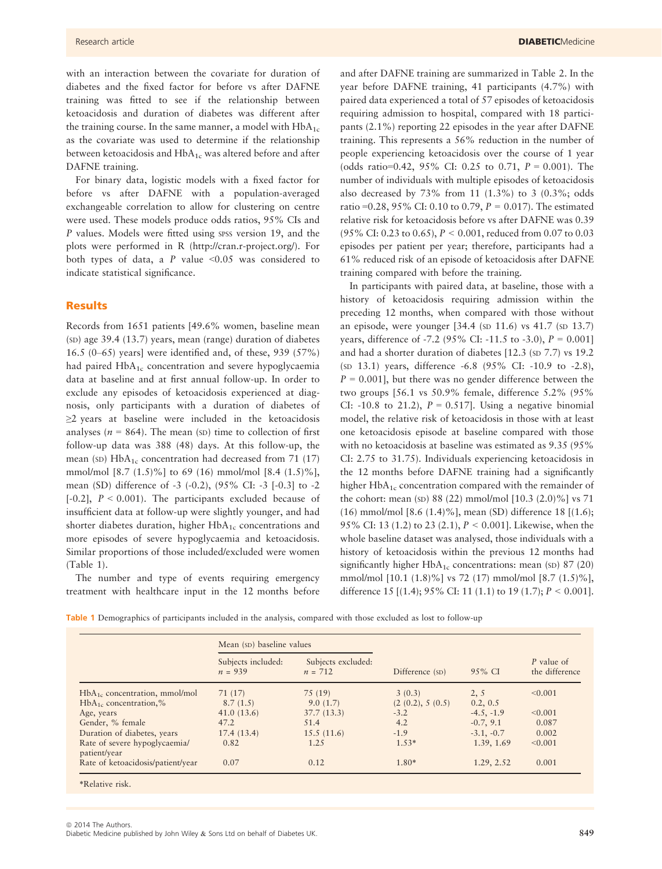with an interaction between the covariate for duration of diabetes and the fixed factor for before vs after DAFNE training was fitted to see if the relationship between ketoacidosis and duration of diabetes was different after the training course. In the same manner, a model with  $HbA_{1c}$ as the covariate was used to determine if the relationship between ketoacidosis and  $HbA_{1c}$  was altered before and after DAFNE training.

For binary data, logistic models with a fixed factor for before vs after DAFNE with a population-averaged exchangeable correlation to allow for clustering on centre were used. These models produce odds ratios, 95% CIs and P values. Models were fitted using spss version 19, and the plots were performed in R (http://cran.r-project.org/). For both types of data, a  $P$  value <0.05 was considered to indicate statistical significance.

## Results

Records from 1651 patients [49.6% women, baseline mean (SD) age 39.4 (13.7) years, mean (range) duration of diabetes 16.5 (0–65) years] were identified and, of these, 939 (57%) had paired HbA<sub>1c</sub> concentration and severe hypoglycaemia data at baseline and at first annual follow-up. In order to exclude any episodes of ketoacidosis experienced at diagnosis, only participants with a duration of diabetes of  $\geq$ 2 years at baseline were included in the ketoacidosis analyses ( $n = 864$ ). The mean (SD) time to collection of first follow-up data was 388 (48) days. At this follow-up, the mean (SD)  $HbA_{1c}$  concentration had decreased from 71 (17) mmol/mol  $[8.7 (1.5)\%]$  to 69 (16) mmol/mol  $[8.4 (1.5)\%]$ , mean (SD) difference of -3 (-0.2), (95% CI: -3 [-0.3] to -2 [-0.2],  $P < 0.001$ ). The participants excluded because of insufficient data at follow-up were slightly younger, and had shorter diabetes duration, higher  $HbA_{1c}$  concentrations and more episodes of severe hypoglycaemia and ketoacidosis. Similar proportions of those included/excluded were women (Table 1).

The number and type of events requiring emergency treatment with healthcare input in the 12 months before and after DAFNE training are summarized in Table 2. In the year before DAFNE training, 41 participants (4.7%) with paired data experienced a total of 57 episodes of ketoacidosis requiring admission to hospital, compared with 18 participants (2.1%) reporting 22 episodes in the year after DAFNE training. This represents a 56% reduction in the number of people experiencing ketoacidosis over the course of 1 year (odds ratio=0.42, 95% CI: 0.25 to 0.71,  $P = 0.001$ ). The number of individuals with multiple episodes of ketoacidosis also decreased by 73% from 11 (1.3%) to 3 (0.3%; odds ratio = 0.28, 95% CI: 0.10 to 0.79,  $P = 0.017$ ). The estimated relative risk for ketoacidosis before vs after DAFNE was 0.39 (95% CI: 0.23 to 0.65), P < 0.001, reduced from 0.07 to 0.03 episodes per patient per year; therefore, participants had a 61% reduced risk of an episode of ketoacidosis after DAFNE training compared with before the training.

In participants with paired data, at baseline, those with a history of ketoacidosis requiring admission within the preceding 12 months, when compared with those without an episode, were younger [34.4 (SD 11.6) vs 41.7 (SD 13.7) years, difference of -7.2 (95% CI: -11.5 to -3.0),  $P = 0.001$ ] and had a shorter duration of diabetes [12.3 (SD 7.7) vs 19.2 (SD 13.1) years, difference -6.8 (95% CI: -10.9 to -2.8),  $P = 0.001$ , but there was no gender difference between the two groups [56.1 vs 50.9% female, difference 5.2% (95% CI: -10.8 to 21.2),  $P = 0.517$ . Using a negative binomial model, the relative risk of ketoacidosis in those with at least one ketoacidosis episode at baseline compared with those with no ketoacidosis at baseline was estimated as 9.35 (95% CI: 2.75 to 31.75). Individuals experiencing ketoacidosis in the 12 months before DAFNE training had a significantly higher  $HbA_{1c}$  concentration compared with the remainder of the cohort: mean (SD) 88 (22) mmol/mol [10.3 (2.0)%] vs 71 (16) mmol/mol [8.6 (1.4)%], mean (SD) difference 18 [(1.6); 95% CI: 13 (1.2) to 23 (2.1), P < 0.001]. Likewise, when the whole baseline dataset was analysed, those individuals with a history of ketoacidosis within the previous 12 months had significantly higher  $HbA_{1c}$  concentrations: mean (SD) 87 (20) mmol/mol [10.1 (1.8)%] vs 72 (17) mmol/mol [8.7 (1.5)%], difference 15 [(1.4); 95% CI: 11 (1.1) to 19 (1.7);  $P < 0.001$ ].

Table 1 Demographics of participants included in the analysis, compared with those excluded as lost to follow-up

|                                               | Mean (SD) baseline values       |                                 |                    |              |                              |
|-----------------------------------------------|---------------------------------|---------------------------------|--------------------|--------------|------------------------------|
|                                               | Subjects included:<br>$n = 939$ | Subjects excluded:<br>$n = 712$ | Difference (SD)    | 95% CI       | P value of<br>the difference |
| $HbA_{1c}$ concentration, mmol/mol            | 71 (17)                         | 75 (19)                         | 3(0.3)             | 2, 5         | < 0.001                      |
| $HbA_{1c}$ concentration,%                    | 8.7(1.5)                        | 9.0(1.7)                        | (2 (0.2), 5 (0.5)) | 0.2, 0.5     |                              |
| Age, years                                    | 41.0(13.6)                      | 37.7(13.3)                      | $-3.2$             | $-4.5, -1.9$ | < 0.001                      |
| Gender, % female                              | 47.2                            | 51.4                            | 4.2                | $-0.7, 9.1$  | 0.087                        |
| Duration of diabetes, years                   | 17.4(13.4)                      | 15.5(11.6)                      | $-1.9$             | $-3.1, -0.7$ | 0.002                        |
| Rate of severe hypoglycaemia/<br>patient/year | 0.82                            | 1.25                            | $1.53*$            | 1.39, 1.69   | < 0.001                      |
| Rate of ketoacidosis/patient/year             | 0.07                            | 0.12                            | $1.80*$            | 1.29, 2.52   | 0.001                        |

 $©$  2014 The Authors. Diabetic Medicine published by John Wiley & Sons Ltd on behalf of Diabetes UK. 849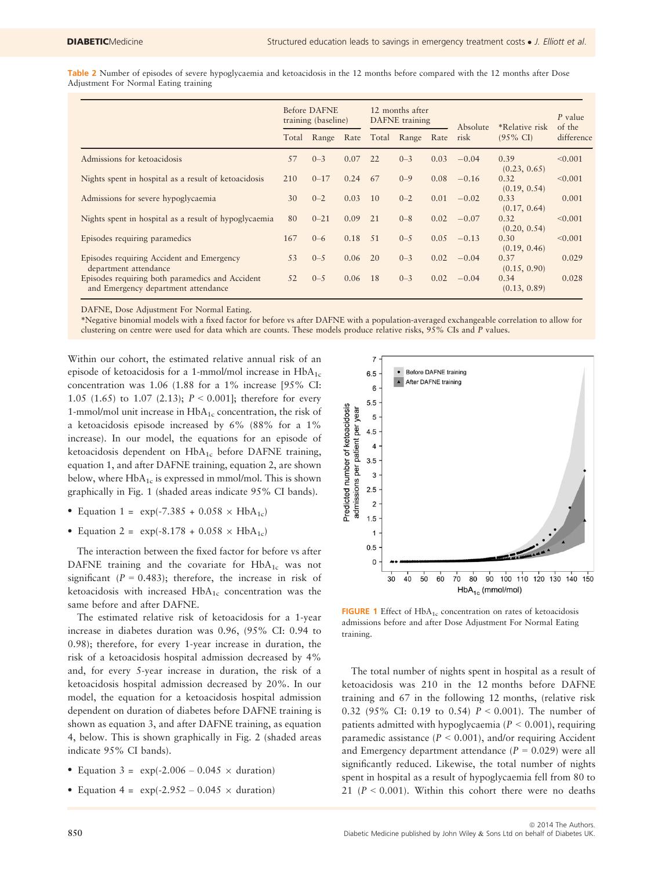Table 2 Number of episodes of severe hypoglycaemia and ketoacidosis in the 12 months before compared with the 12 months after Dose Adjustment For Normal Eating training

|                                                                                        | <b>Before DAFNE</b><br>training (baseline) |          |      | 12 months after<br>DAFNE training |         | Absolute | *Relative risk | P value<br>of the    |            |
|----------------------------------------------------------------------------------------|--------------------------------------------|----------|------|-----------------------------------|---------|----------|----------------|----------------------|------------|
|                                                                                        | Total                                      | Range    | Rate | Total                             | Range   | Rate     | risk           | $(95\% \text{ CI})$  | difference |
| Admissions for ketoacidosis                                                            | 57                                         | $0 - 3$  | 0.07 | 22                                | $0 - 3$ | 0.03     | $-0.04$        | 0.39<br>(0.23, 0.65) | < 0.001    |
| Nights spent in hospital as a result of ketoacidosis                                   | 210                                        | $0 - 17$ | 0.24 | 67                                | $0 - 9$ | 0.08     | $-0.16$        | 0.32<br>(0.19, 0.54) | < 0.001    |
| Admissions for severe hypoglycaemia                                                    | 30                                         | $0 - 2$  | 0.03 | 10                                | $0 - 2$ | 0.01     | $-0.02$        | 0.33<br>(0.17, 0.64) | 0.001      |
| Nights spent in hospital as a result of hypoglycaemia                                  | 80                                         | $0 - 21$ | 0.09 | 21                                | $0 - 8$ | 0.02     | $-0.07$        | 0.32<br>(0.20, 0.54) | < 0.001    |
| Episodes requiring paramedics                                                          | 167                                        | $0 - 6$  | 0.18 | .51                               | $0 - 5$ | 0.05     | $-0.13$        | 0.30<br>(0.19, 0.46) | < 0.001    |
| Episodes requiring Accident and Emergency<br>department attendance                     | 53                                         | $0 - 5$  | 0.06 | 20                                | $0 - 3$ | 0.02     | $-0.04$        | 0.37<br>(0.15, 0.90) | 0.029      |
| Episodes requiring both paramedics and Accident<br>and Emergency department attendance | 52                                         | $0 - 5$  | 0.06 | <sup>18</sup>                     | $0 - 3$ | 0.02     | $-0.04$        | 0.34<br>(0.13, 0.89) | 0.028      |

DAFNE, Dose Adjustment For Normal Eating.

\*Negative binomial models with a fixed factor for before vs after DAFNE with a population-averaged exchangeable correlation to allow for clustering on centre were used for data which are counts. These models produce relative risks, 95% CIs and P values.

Within our cohort, the estimated relative annual risk of an episode of ketoacidosis for a 1-mmol/mol increase in  $HbA_{1c}$ concentration was 1.06 (1.88 for a 1% increase [95% CI: 1.05 (1.65) to 1.07 (2.13);  $P < 0.001$ ]; therefore for every 1-mmol/mol unit increase in  $HbA_{1c}$  concentration, the risk of a ketoacidosis episode increased by 6% (88% for a 1% increase). In our model, the equations for an episode of ketoacidosis dependent on HbA<sub>1c</sub> before DAFNE training, equation 1, and after DAFNE training, equation 2, are shown below, where  $HbA_{1c}$  is expressed in mmol/mol. This is shown graphically in Fig. 1 (shaded areas indicate 95% CI bands).

- Equation 1 =  $exp(-7.385 + 0.058 \times HbA_{1c})$
- Equation 2 =  $exp(-8.178 + 0.058 \times HbA_{1c})$

The interaction between the fixed factor for before vs after DAFNE training and the covariate for  $HbA_{1c}$  was not significant ( $P = 0.483$ ); therefore, the increase in risk of ketoacidosis with increased  $HbA_{1c}$  concentration was the same before and after DAFNE.

The estimated relative risk of ketoacidosis for a 1-year increase in diabetes duration was 0.96, (95% CI: 0.94 to 0.98); therefore, for every 1-year increase in duration, the risk of a ketoacidosis hospital admission decreased by 4% and, for every 5-year increase in duration, the risk of a ketoacidosis hospital admission decreased by 20%. In our model, the equation for a ketoacidosis hospital admission dependent on duration of diabetes before DAFNE training is shown as equation 3, and after DAFNE training, as equation 4, below. This is shown graphically in Fig. 2 (shaded areas indicate 95% CI bands).

- Equation 3 =  $exp(-2.006 0.045 \times duration)$
- Equation 4 =  $exp(-2.952 0.045 \times duration)$



FIGURE 1 Effect of  $HbA_{1c}$  concentration on rates of ketoacidosis admissions before and after Dose Adjustment For Normal Eating training.

The total number of nights spent in hospital as a result of ketoacidosis was 210 in the 12 months before DAFNE training and 67 in the following 12 months, (relative risk 0.32 (95% CI: 0.19 to 0.54)  $P < 0.001$ ). The number of patients admitted with hypoglycaemia ( $P < 0.001$ ), requiring paramedic assistance  $(P < 0.001)$ , and/or requiring Accident and Emergency department attendance  $(P = 0.029)$  were all significantly reduced. Likewise, the total number of nights spent in hospital as a result of hypoglycaemia fell from 80 to 21 ( $P < 0.001$ ). Within this cohort there were no deaths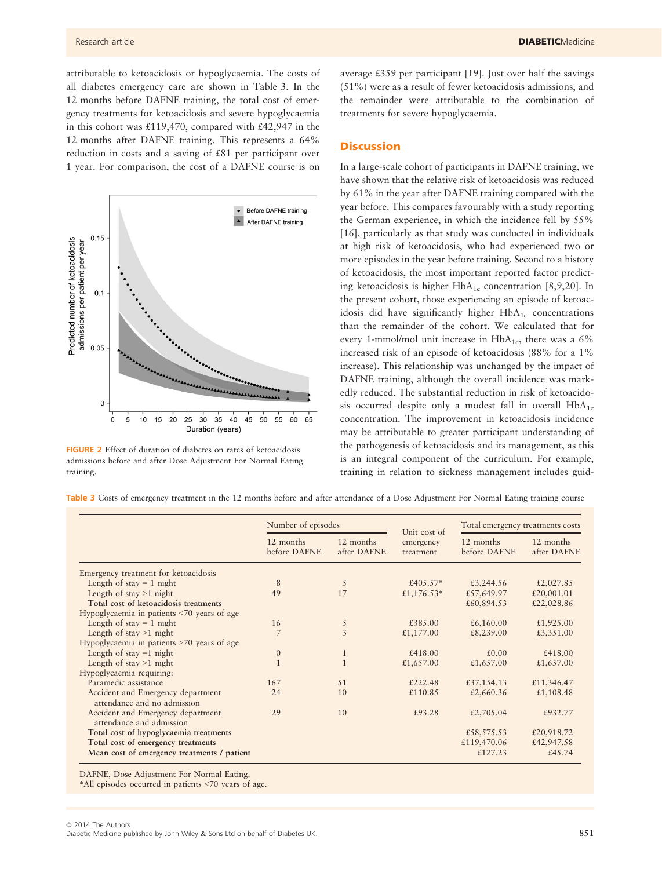attributable to ketoacidosis or hypoglycaemia. The costs of all diabetes emergency care are shown in Table 3. In the 12 months before DAFNE training, the total cost of emergency treatments for ketoacidosis and severe hypoglycaemia in this cohort was £119,470, compared with £42,947 in the 12 months after DAFNE training. This represents a 64% reduction in costs and a saving of £81 per participant over 1 year. For comparison, the cost of a DAFNE course is on



FIGURE 2 Effect of duration of diabetes on rates of ketoacidosis admissions before and after Dose Adjustment For Normal Eating training.

average £359 per participant [19]. Just over half the savings (51%) were as a result of fewer ketoacidosis admissions, and the remainder were attributable to the combination of treatments for severe hypoglycaemia.

# **Discussion**

In a large-scale cohort of participants in DAFNE training, we have shown that the relative risk of ketoacidosis was reduced by 61% in the year after DAFNE training compared with the year before. This compares favourably with a study reporting the German experience, in which the incidence fell by 55% [16], particularly as that study was conducted in individuals at high risk of ketoacidosis, who had experienced two or more episodes in the year before training. Second to a history of ketoacidosis, the most important reported factor predicting ketoacidosis is higher  $HbA_{1c}$  concentration [8,9,20]. In the present cohort, those experiencing an episode of ketoacidosis did have significantly higher  $HbA_{1c}$  concentrations than the remainder of the cohort. We calculated that for every 1-mmol/mol unit increase in  $HbA_{1c}$ , there was a 6% increased risk of an episode of ketoacidosis (88% for a 1% increase). This relationship was unchanged by the impact of DAFNE training, although the overall incidence was markedly reduced. The substantial reduction in risk of ketoacidosis occurred despite only a modest fall in overall  $HbA_{1c}$ concentration. The improvement in ketoacidosis incidence may be attributable to greater participant understanding of the pathogenesis of ketoacidosis and its management, as this is an integral component of the curriculum. For example, training in relation to sickness management includes guid-

|                                                                  | Number of episodes        |                          | Unit cost of           | Total emergency treatments costs |                          |  |
|------------------------------------------------------------------|---------------------------|--------------------------|------------------------|----------------------------------|--------------------------|--|
|                                                                  | 12 months<br>before DAFNE | 12 months<br>after DAFNE | emergency<br>treatment | 12 months<br>before DAFNE        | 12 months<br>after DAFNE |  |
| Emergency treatment for ketoacidosis                             |                           |                          |                        |                                  |                          |  |
| Length of stay $= 1$ night                                       | 8                         | 5                        | £405.57*               | £3,244.56                        | £2,027.85                |  |
| Length of stay $>1$ night                                        | 49                        | 17                       | £1,176.53*             | £57,649.97                       | £20,001.01               |  |
| Total cost of ketoacidosis treatments                            |                           |                          |                        | £60,894.53                       | £22,028.86               |  |
| Hypoglycaemia in patients <70 years of age                       |                           |                          |                        |                                  |                          |  |
| Length of stay $= 1$ night                                       | 16                        | 5                        | £385.00                | £6,160.00                        | £1,925.00                |  |
| Length of stay $>1$ night                                        | 7                         | 3                        | £1,177.00              | £8,239.00                        | £3,351.00                |  |
| Hypoglycaemia in patients >70 years of age                       |                           |                          |                        |                                  |                          |  |
| Length of stay $=1$ night                                        | $\mathbf{0}$              | $\mathbf{1}$             | £418.00                | £0.00                            | £418.00                  |  |
| Length of stay $>1$ night                                        | $\mathbf{1}$              | $\mathbf{1}$             | £1,657.00              | £1,657.00                        | £1,657.00                |  |
| Hypoglycaemia requiring:                                         |                           |                          |                        |                                  |                          |  |
| Paramedic assistance                                             | 167                       | 51                       | £222.48                | £37,154.13                       | £11,346.47               |  |
| Accident and Emergency department<br>attendance and no admission | 24                        | 10                       | £110.85                | £2,660.36                        | £1,108.48                |  |
| Accident and Emergency department<br>attendance and admission    | 29                        | 10                       | £93.28                 | £2,705.04                        | £932.77                  |  |
| Total cost of hypoglycaemia treatments                           |                           |                          |                        | £58,575.53                       | £20,918.72               |  |
| Total cost of emergency treatments                               |                           |                          |                        | £119,470.06                      | £42,947.58               |  |
| Mean cost of emergency treatments / patient                      |                           |                          |                        | £127.23                          | £45.74                   |  |

Table 3 Costs of emergency treatment in the 12 months before and after attendance of a Dose Adjustment For Normal Eating training course

DAFNE, Dose Adjustment For Normal Eating.

\*All episodes occurred in patients <70 years of age.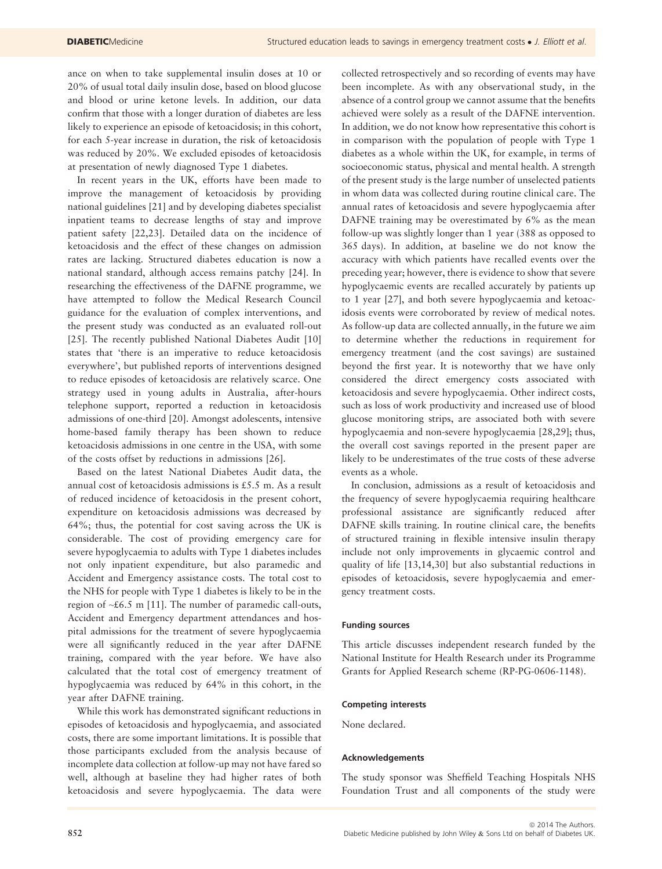ance on when to take supplemental insulin doses at 10 or 20% of usual total daily insulin dose, based on blood glucose and blood or urine ketone levels. In addition, our data confirm that those with a longer duration of diabetes are less likely to experience an episode of ketoacidosis; in this cohort, for each 5-year increase in duration, the risk of ketoacidosis was reduced by 20%. We excluded episodes of ketoacidosis at presentation of newly diagnosed Type 1 diabetes.

In recent years in the UK, efforts have been made to improve the management of ketoacidosis by providing national guidelines [21] and by developing diabetes specialist inpatient teams to decrease lengths of stay and improve patient safety [22,23]. Detailed data on the incidence of ketoacidosis and the effect of these changes on admission rates are lacking. Structured diabetes education is now a national standard, although access remains patchy [24]. In researching the effectiveness of the DAFNE programme, we have attempted to follow the Medical Research Council guidance for the evaluation of complex interventions, and the present study was conducted as an evaluated roll-out [25]. The recently published National Diabetes Audit [10] states that 'there is an imperative to reduce ketoacidosis everywhere', but published reports of interventions designed to reduce episodes of ketoacidosis are relatively scarce. One strategy used in young adults in Australia, after-hours telephone support, reported a reduction in ketoacidosis admissions of one-third [20]. Amongst adolescents, intensive home-based family therapy has been shown to reduce ketoacidosis admissions in one centre in the USA, with some of the costs offset by reductions in admissions [26].

Based on the latest National Diabetes Audit data, the annual cost of ketoacidosis admissions is £5.5 m. As a result of reduced incidence of ketoacidosis in the present cohort, expenditure on ketoacidosis admissions was decreased by 64%; thus, the potential for cost saving across the UK is considerable. The cost of providing emergency care for severe hypoglycaemia to adults with Type 1 diabetes includes not only inpatient expenditure, but also paramedic and Accident and Emergency assistance costs. The total cost to the NHS for people with Type 1 diabetes is likely to be in the region of  $\sim$ £6.5 m [11]. The number of paramedic call-outs, Accident and Emergency department attendances and hospital admissions for the treatment of severe hypoglycaemia were all significantly reduced in the year after DAFNE training, compared with the year before. We have also calculated that the total cost of emergency treatment of hypoglycaemia was reduced by 64% in this cohort, in the year after DAFNE training.

While this work has demonstrated significant reductions in episodes of ketoacidosis and hypoglycaemia, and associated costs, there are some important limitations. It is possible that those participants excluded from the analysis because of incomplete data collection at follow-up may not have fared so well, although at baseline they had higher rates of both ketoacidosis and severe hypoglycaemia. The data were

collected retrospectively and so recording of events may have been incomplete. As with any observational study, in the absence of a control group we cannot assume that the benefits achieved were solely as a result of the DAFNE intervention. In addition, we do not know how representative this cohort is in comparison with the population of people with Type 1 diabetes as a whole within the UK, for example, in terms of socioeconomic status, physical and mental health. A strength of the present study is the large number of unselected patients in whom data was collected during routine clinical care. The annual rates of ketoacidosis and severe hypoglycaemia after DAFNE training may be overestimated by 6% as the mean follow-up was slightly longer than 1 year (388 as opposed to 365 days). In addition, at baseline we do not know the accuracy with which patients have recalled events over the preceding year; however, there is evidence to show that severe hypoglycaemic events are recalled accurately by patients up to 1 year [27], and both severe hypoglycaemia and ketoacidosis events were corroborated by review of medical notes. As follow-up data are collected annually, in the future we aim to determine whether the reductions in requirement for emergency treatment (and the cost savings) are sustained beyond the first year. It is noteworthy that we have only considered the direct emergency costs associated with ketoacidosis and severe hypoglycaemia. Other indirect costs, such as loss of work productivity and increased use of blood glucose monitoring strips, are associated both with severe hypoglycaemia and non-severe hypoglycaemia [28,29]; thus, the overall cost savings reported in the present paper are likely to be underestimates of the true costs of these adverse events as a whole.

In conclusion, admissions as a result of ketoacidosis and the frequency of severe hypoglycaemia requiring healthcare professional assistance are significantly reduced after DAFNE skills training. In routine clinical care, the benefits of structured training in flexible intensive insulin therapy include not only improvements in glycaemic control and quality of life [13,14,30] but also substantial reductions in episodes of ketoacidosis, severe hypoglycaemia and emergency treatment costs.

#### Funding sources

This article discusses independent research funded by the National Institute for Health Research under its Programme Grants for Applied Research scheme (RP-PG-0606-1148).

#### Competing interests

None declared.

#### Acknowledgements

The study sponsor was Sheffield Teaching Hospitals NHS Foundation Trust and all components of the study were